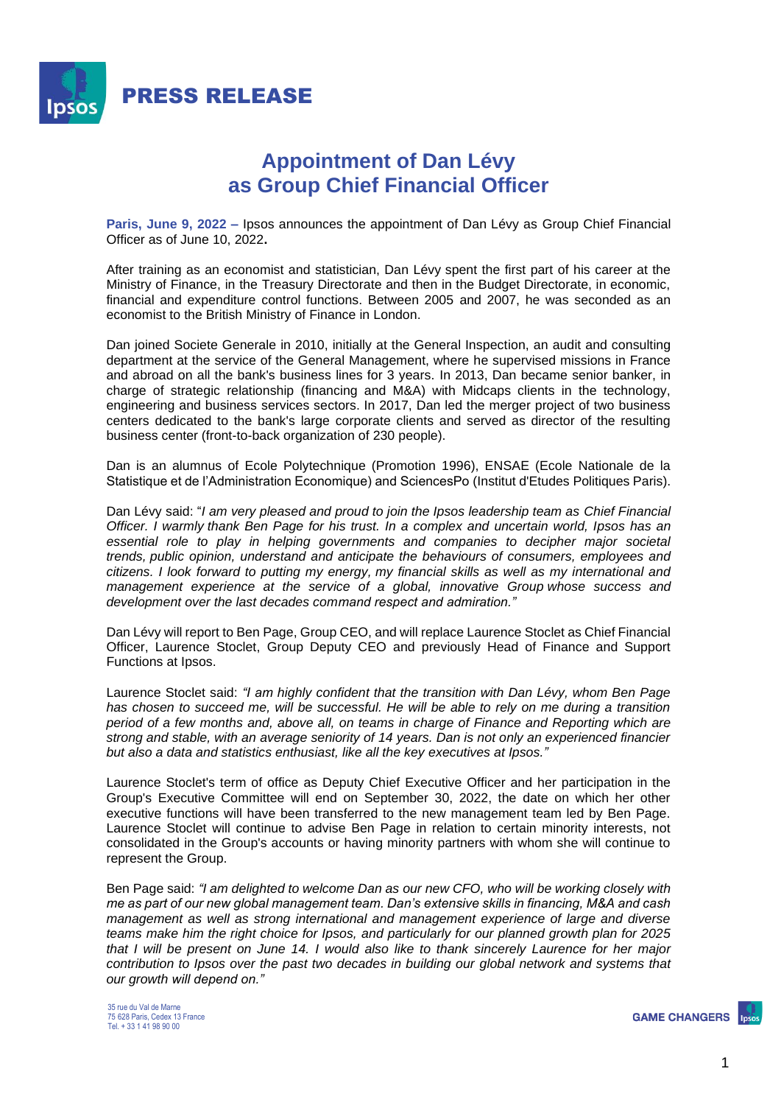

## **Appointment of Dan Lévy as Group Chief Financial Officer**

**Paris, June 9, 2022 –** Ipsos announces the appointment of Dan Lévy as Group Chief Financial Officer as of June 10, 2022**.**

After training as an economist and statistician, Dan Lévy spent the first part of his career at the Ministry of Finance, in the Treasury Directorate and then in the Budget Directorate, in economic, financial and expenditure control functions. Between 2005 and 2007, he was seconded as an economist to the British Ministry of Finance in London.

Dan joined Societe Generale in 2010, initially at the General Inspection, an audit and consulting department at the service of the General Management, where he supervised missions in France and abroad on all the bank's business lines for 3 years. In 2013, Dan became senior banker, in charge of strategic relationship (financing and M&A) with Midcaps clients in the technology, engineering and business services sectors. In 2017, Dan led the merger project of two business centers dedicated to the bank's large corporate clients and served as director of the resulting business center (front-to-back organization of 230 people).

Dan is an alumnus of Ecole Polytechnique (Promotion 1996), ENSAE (Ecole Nationale de la Statistique et de l'Administration Economique) and SciencesPo (Institut d'Etudes Politiques Paris).

Dan Lévy said: "*I am very pleased and proud to join the Ipsos leadership team as Chief Financial Officer. I warmly thank Ben Page for his trust. In a complex and uncertain world, Ipsos has an essential role to play in helping governments and companies to decipher major societal trends, public opinion, understand and anticipate the behaviours of consumers, employees and citizens. I look forward to putting my energy, my financial skills as well as my international and management experience at the service of a global, innovative Group whose success and development over the last decades command respect and admiration."*

Dan Lévy will report to Ben Page, Group CEO, and will replace Laurence Stoclet as Chief Financial Officer, Laurence Stoclet, Group Deputy CEO and previously Head of Finance and Support Functions at Ipsos.

Laurence Stoclet said: *"I am highly confident that the transition with Dan Lévy, whom Ben Page has chosen to succeed me, will be successful. He will be able to rely on me during a transition period of a few months and, above all, on teams in charge of Finance and Reporting which are strong and stable, with an average seniority of 14 years. Dan is not only an experienced financier but also a data and statistics enthusiast, like all the key executives at Ipsos."*

Laurence Stoclet's term of office as Deputy Chief Executive Officer and her participation in the Group's Executive Committee will end on September 30, 2022, the date on which her other executive functions will have been transferred to the new management team led by Ben Page. Laurence Stoclet will continue to advise Ben Page in relation to certain minority interests, not consolidated in the Group's accounts or having minority partners with whom she will continue to represent the Group.

Ben Page said: *"I am delighted to welcome Dan as our new CFO, who will be working closely with me as part of our new global management team. Dan's extensive skills in financing, M&A and cash management as well as strong international and management experience of large and diverse teams make him the right choice for Ipsos, and particularly for our planned growth plan for 2025 that I will be present on June 14. I would also like to thank sincerely Laurence for her major contribution to Ipsos over the past two decades in building our global network and systems that our growth will depend on."*